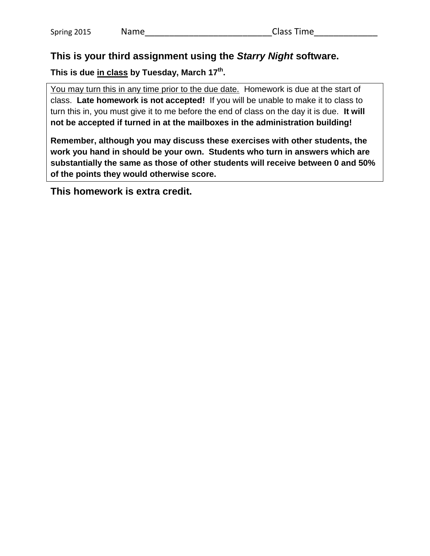## **This is your third assignment using the** *Starry Night* **software.**

**This is due in class by Tuesday, March 17 th .**

You may turn this in any time prior to the due date. Homework is due at the start of class. **Late homework is not accepted!** If you will be unable to make it to class to turn this in, you must give it to me before the end of class on the day it is due. **It will not be accepted if turned in at the mailboxes in the administration building!**

**Remember, although you may discuss these exercises with other students, the work you hand in should be your own. Students who turn in answers which are substantially the same as those of other students will receive between 0 and 50% of the points they would otherwise score.**

**This homework is extra credit.**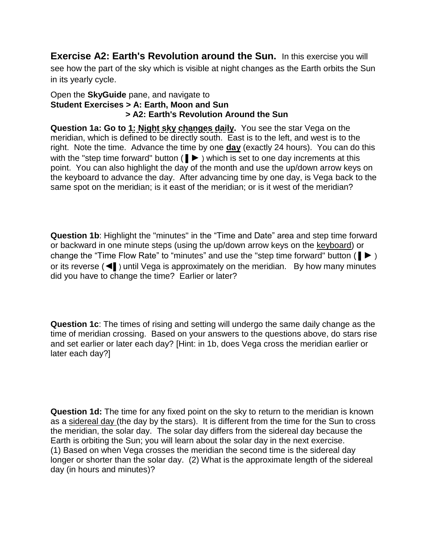**Exercise A2: Earth's Revolution around the Sun.** In this exercise you will see how the part of the sky which is visible at night changes as the Earth orbits the Sun in its yearly cycle.

## Open the **SkyGuide** pane, and navigate to **Student Exercises > A: Earth, Moon and Sun > A2: Earth's Revolution Around the Sun**

**Question 1a: Go to 1: Night sky changes daily.** You see the star Vega on the meridian, which is defined to be directly south. East is to the left, and west is to the right. Note the time. Advance the time by one **day** (exactly 24 hours). You can do this with the "step time forward" button ( $\blacktriangleright$ ) which is set to one day increments at this point. You can also highlight the day of the month and use the up/down arrow keys on the keyboard to advance the day. After advancing time by one day, is Vega back to the same spot on the meridian; is it east of the meridian; or is it west of the meridian?

**Question 1b**: Highlight the "minutes" in the "Time and Date" area and step time forward or backward in one minute steps (using the up/down arrow keys on the keyboard) or change the "Time Flow Rate" to "minutes" and use the "step time forward" button ( $\blacktriangleright$ ) or its reverse (◄▌) until Vega is approximately on the meridian. By how many minutes did you have to change the time? Earlier or later?

**Question 1c**: The times of rising and setting will undergo the same daily change as the time of meridian crossing. Based on your answers to the questions above, do stars rise and set earlier or later each day? [Hint: in 1b, does Vega cross the meridian earlier or later each day?]

**Question 1d:** The time for any fixed point on the sky to return to the meridian is known as a sidereal day (the day by the stars). It is different from the time for the Sun to cross the meridian, the solar day. The solar day differs from the sidereal day because the Earth is orbiting the Sun; you will learn about the solar day in the next exercise. (1) Based on when Vega crosses the meridian the second time is the sidereal day longer or shorter than the solar day. (2) What is the approximate length of the sidereal day (in hours and minutes)?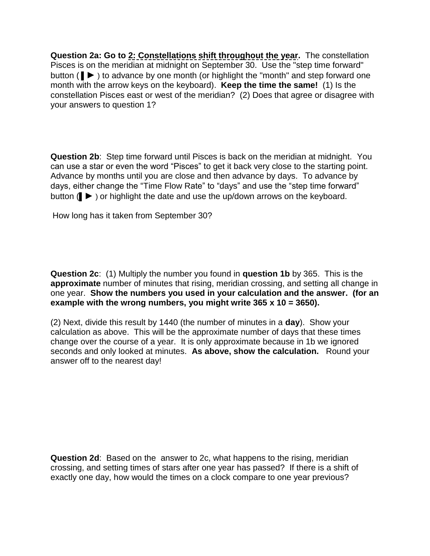**Question 2a: Go to 2: Constellations shift throughout the year.** The constellation Pisces is on the meridian at midnight on September 30. Use the "step time forward" button ( $\blacksquare$ ) to advance by one month (or highlight the "month" and step forward one month with the arrow keys on the keyboard). **Keep the time the same!** (1) Is the constellation Pisces east or west of the meridian? (2) Does that agree or disagree with your answers to question 1?

**Question 2b**: Step time forward until Pisces is back on the meridian at midnight. You can use a star or even the word "Pisces" to get it back very close to the starting point. Advance by months until you are close and then advance by days. To advance by days, either change the "Time Flow Rate" to "days" and use the "step time forward" button (▌► ) or highlight the date and use the up/down arrows on the keyboard.

How long has it taken from September 30?

**Question 2c**: (1) Multiply the number you found in **question 1b** by 365. This is the **approximate** number of minutes that rising, meridian crossing, and setting all change in one year. **Show the numbers you used in your calculation and the answer. (for an example with the wrong numbers, you might write 365 x 10 = 3650).**

(2) Next, divide this result by 1440 (the number of minutes in a **day**). Show your calculation as above. This will be the approximate number of days that these times change over the course of a year. It is only approximate because in 1b we ignored seconds and only looked at minutes. **As above, show the calculation.** Round your answer off to the nearest day!

**Question 2d**: Based on the answer to 2c, what happens to the rising, meridian crossing, and setting times of stars after one year has passed? If there is a shift of exactly one day, how would the times on a clock compare to one year previous?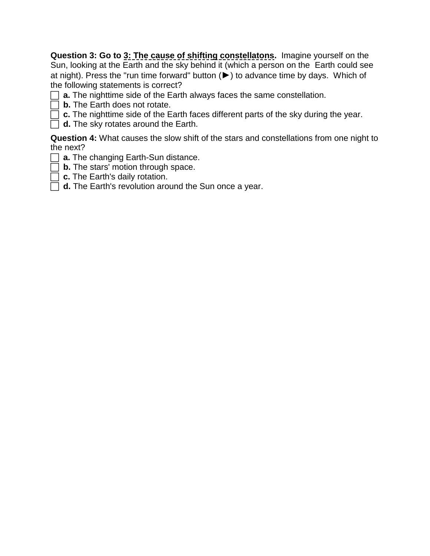**Question 3: Go to 3: The cause of shifting constellatons.** Imagine yourself on the Sun, looking at the Earth and the sky behind it (which a person on the Earth could see at night). Press the "run time forward" button (►) to advance time by days. Which of the following statements is correct?

- **a.** The nighttime side of the Earth always faces the same constellation.
- **b.** The Earth does not rotate.
- **C.** The nighttime side of the Earth faces different parts of the sky during the year.
	- **d.** The sky rotates around the Earth.

**Question 4:** What causes the slow shift of the stars and constellations from one night to the next?

- **a.** The changing Earth-Sun distance.
- **b.** The stars' motion through space.
- **c.** The Earth's daily rotation.
- **d.** The Earth's revolution around the Sun once a year.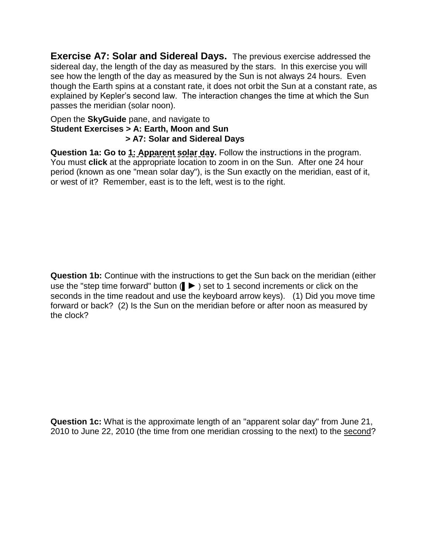**Exercise A7: Solar and Sidereal Days.** The previous exercise addressed the sidereal day, the length of the day as measured by the stars. In this exercise you will see how the length of the day as measured by the Sun is not always 24 hours. Even though the Earth spins at a constant rate, it does not orbit the Sun at a constant rate, as explained by Kepler's second law. The interaction changes the time at which the Sun passes the meridian (solar noon).

## Open the **SkyGuide** pane, and navigate to **Student Exercises > A: Earth, Moon and Sun > A7: Solar and Sidereal Days**

**Question 1a: Go to 1: Apparent solar day.** Follow the instructions in the program. You must **click** at the appropriate location to zoom in on the Sun. After one 24 hour period (known as one "mean solar day"), is the Sun exactly on the meridian, east of it, or west of it? Remember, east is to the left, west is to the right.

**Question 1b:** Continue with the instructions to get the Sun back on the meridian (either use the "step time forward" button (▌► ) set to 1 second increments or click on the seconds in the time readout and use the keyboard arrow keys).(1) Did you move time forward or back? (2) Is the Sun on the meridian before or after noon as measured by the clock?

**Question 1c:** What is the approximate length of an "apparent solar day" from June 21, 2010 to June 22, 2010 (the time from one meridian crossing to the next) to the second?